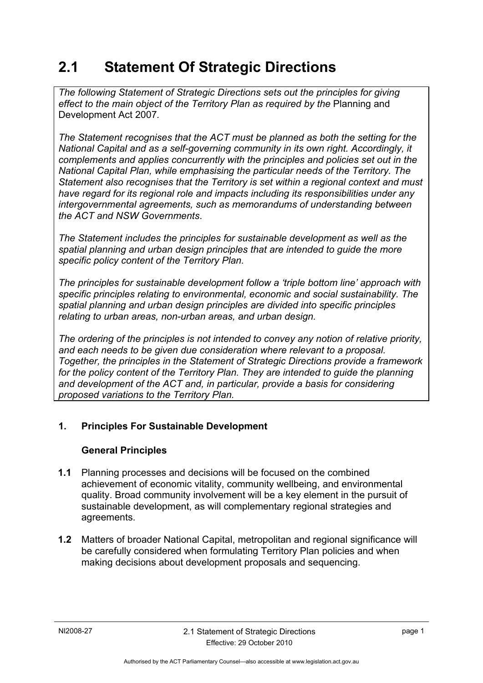# **2.1 Statement Of Strategic Directions**

*The following Statement of Strategic Directions sets out the principles for giving effect to the main object of the Territory Plan as required by the* Planning and Development Act 2007*.* 

*The Statement recognises that the ACT must be planned as both the setting for the National Capital and as a self-governing community in its own right. Accordingly, it complements and applies concurrently with the principles and policies set out in the National Capital Plan, while emphasising the particular needs of the Territory. The Statement also recognises that the Territory is set within a regional context and must have regard for its regional role and impacts including its responsibilities under any intergovernmental agreements, such as memorandums of understanding between the ACT and NSW Governments*.

*The Statement includes the principles for sustainable development as well as the spatial planning and urban design principles that are intended to guide the more specific policy content of the Territory Plan.* 

*The principles for sustainable development follow a 'triple bottom line' approach with specific principles relating to environmental, economic and social sustainability. The spatial planning and urban design principles are divided into specific principles relating to urban areas, non-urban areas, and urban design.* 

*The ordering of the principles is not intended to convey any notion of relative priority, and each needs to be given due consideration where relevant to a proposal. Together, the principles in the Statement of Strategic Directions provide a framework for the policy content of the Territory Plan. They are intended to guide the planning and development of the ACT and, in particular, provide a basis for considering proposed variations to the Territory Plan.* 

## **1. Principles For Sustainable Development**

### **General Principles**

- **1.1** Planning processes and decisions will be focused on the combined achievement of economic vitality, community wellbeing, and environmental quality. Broad community involvement will be a key element in the pursuit of sustainable development, as will complementary regional strategies and agreements.
- **1.2** Matters of broader National Capital, metropolitan and regional significance will be carefully considered when formulating Territory Plan policies and when making decisions about development proposals and sequencing.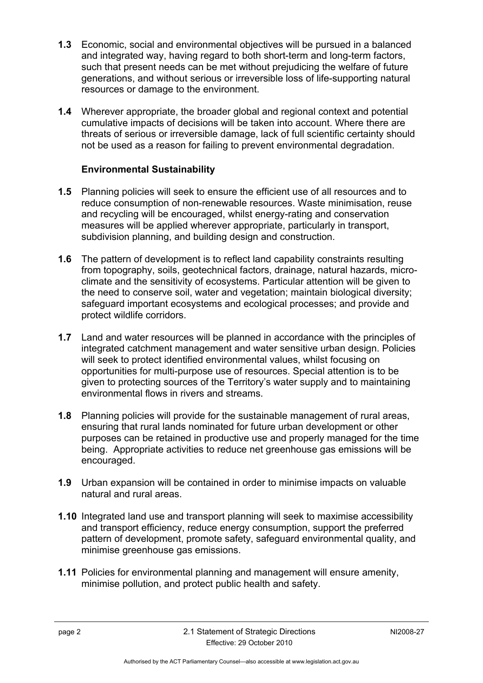- **1.3** Economic, social and environmental objectives will be pursued in a balanced and integrated way, having regard to both short-term and long-term factors, such that present needs can be met without prejudicing the welfare of future generations, and without serious or irreversible loss of life-supporting natural resources or damage to the environment.
- **1.4** Wherever appropriate, the broader global and regional context and potential cumulative impacts of decisions will be taken into account. Where there are threats of serious or irreversible damage, lack of full scientific certainty should not be used as a reason for failing to prevent environmental degradation.

### **Environmental Sustainability**

- **1.5** Planning policies will seek to ensure the efficient use of all resources and to reduce consumption of non-renewable resources. Waste minimisation, reuse and recycling will be encouraged, whilst energy-rating and conservation measures will be applied wherever appropriate, particularly in transport, subdivision planning, and building design and construction.
- **1.6** The pattern of development is to reflect land capability constraints resulting from topography, soils, geotechnical factors, drainage, natural hazards, microclimate and the sensitivity of ecosystems. Particular attention will be given to the need to conserve soil, water and vegetation; maintain biological diversity; safeguard important ecosystems and ecological processes; and provide and protect wildlife corridors.
- **1.7** Land and water resources will be planned in accordance with the principles of integrated catchment management and water sensitive urban design. Policies will seek to protect identified environmental values, whilst focusing on opportunities for multi-purpose use of resources. Special attention is to be given to protecting sources of the Territory's water supply and to maintaining environmental flows in rivers and streams.
- **1.8** Planning policies will provide for the sustainable management of rural areas, ensuring that rural lands nominated for future urban development or other purposes can be retained in productive use and properly managed for the time being. Appropriate activities to reduce net greenhouse gas emissions will be encouraged.
- **1.9** Urban expansion will be contained in order to minimise impacts on valuable natural and rural areas.
- **1.10** Integrated land use and transport planning will seek to maximise accessibility and transport efficiency, reduce energy consumption, support the preferred pattern of development, promote safety, safeguard environmental quality, and minimise greenhouse gas emissions.
- **1.11** Policies for environmental planning and management will ensure amenity, minimise pollution, and protect public health and safety.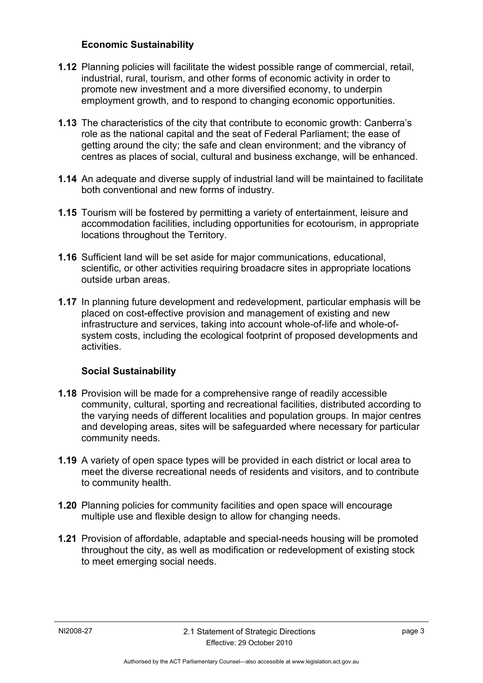### **Economic Sustainability**

- **1.12** Planning policies will facilitate the widest possible range of commercial, retail, industrial, rural, tourism, and other forms of economic activity in order to promote new investment and a more diversified economy, to underpin employment growth, and to respond to changing economic opportunities.
- **1.13** The characteristics of the city that contribute to economic growth: Canberra's role as the national capital and the seat of Federal Parliament; the ease of getting around the city; the safe and clean environment; and the vibrancy of centres as places of social, cultural and business exchange, will be enhanced.
- **1.14** An adequate and diverse supply of industrial land will be maintained to facilitate both conventional and new forms of industry.
- **1.15** Tourism will be fostered by permitting a variety of entertainment, leisure and accommodation facilities, including opportunities for ecotourism, in appropriate locations throughout the Territory.
- **1.16** Sufficient land will be set aside for major communications, educational, scientific, or other activities requiring broadacre sites in appropriate locations outside urban areas.
- **1.17** In planning future development and redevelopment, particular emphasis will be placed on cost-effective provision and management of existing and new infrastructure and services, taking into account whole-of-life and whole-ofsystem costs, including the ecological footprint of proposed developments and activities.

### **Social Sustainability**

- **1.18** Provision will be made for a comprehensive range of readily accessible community, cultural, sporting and recreational facilities, distributed according to the varying needs of different localities and population groups. In major centres and developing areas, sites will be safeguarded where necessary for particular community needs.
- **1.19** A variety of open space types will be provided in each district or local area to meet the diverse recreational needs of residents and visitors, and to contribute to community health.
- **1.20** Planning policies for community facilities and open space will encourage multiple use and flexible design to allow for changing needs.
- **1.21** Provision of affordable, adaptable and special-needs housing will be promoted throughout the city, as well as modification or redevelopment of existing stock to meet emerging social needs.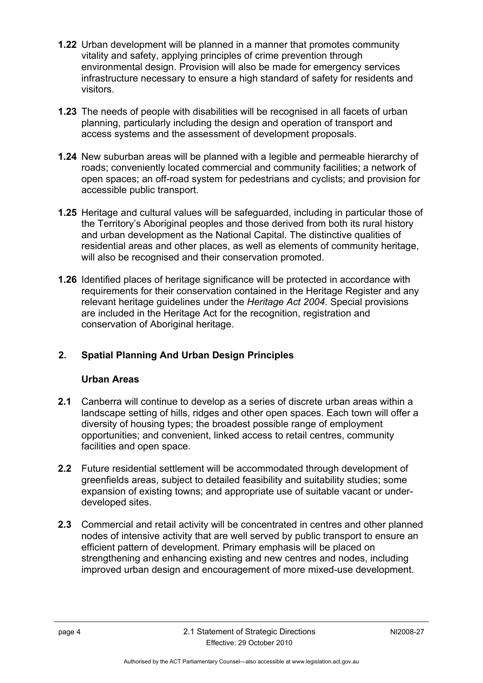- **1.22** Urban development will be planned in a manner that promotes community vitality and safety, applying principles of crime prevention through environmental design. Provision will also be made for emergency services infrastructure necessary to ensure a high standard of safety for residents and visitors.
- **1.23** The needs of people with disabilities will be recognised in all facets of urban planning, particularly including the design and operation of transport and access systems and the assessment of development proposals.
- **1.24** New suburban areas will be planned with a legible and permeable hierarchy of roads; conveniently located commercial and community facilities; a network of open spaces; an off-road system for pedestrians and cyclists; and provision for accessible public transport.
- **1.25** Heritage and cultural values will be safeguarded, including in particular those of the Territory's Aboriginal peoples and those derived from both its rural history and urban development as the National Capital. The distinctive qualities of residential areas and other places, as well as elements of community heritage, will also be recognised and their conservation promoted.
- **1.26** Identified places of heritage significance will be protected in accordance with requirements for their conservation contained in the Heritage Register and any relevant heritage guidelines under the *Heritage Act 2004*. Special provisions are included in the Heritage Act for the recognition, registration and conservation of Aboriginal heritage.

## **2. Spatial Planning And Urban Design Principles**

### **Urban Areas**

- **2.1** Canberra will continue to develop as a series of discrete urban areas within a landscape setting of hills, ridges and other open spaces. Each town will offer a diversity of housing types; the broadest possible range of employment opportunities; and convenient, linked access to retail centres, community facilities and open space.
- **2.2** Future residential settlement will be accommodated through development of greenfields areas, subject to detailed feasibility and suitability studies; some expansion of existing towns; and appropriate use of suitable vacant or underdeveloped sites.
- **2.3** Commercial and retail activity will be concentrated in centres and other planned nodes of intensive activity that are well served by public transport to ensure an efficient pattern of development. Primary emphasis will be placed on strengthening and enhancing existing and new centres and nodes, including improved urban design and encouragement of more mixed-use development.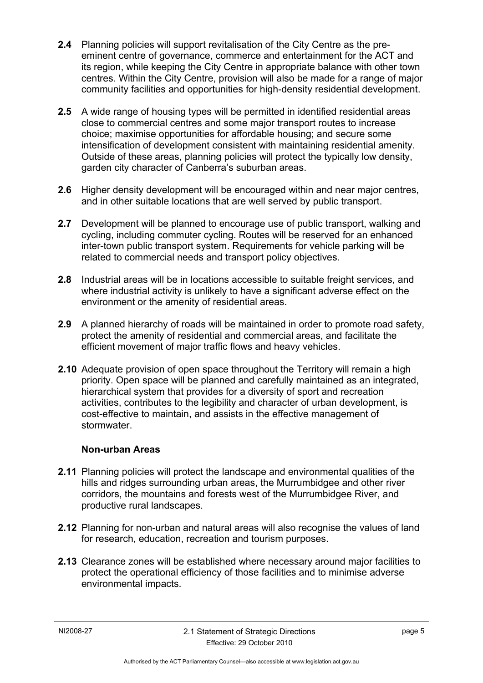- **2.4** Planning policies will support revitalisation of the City Centre as the preeminent centre of governance, commerce and entertainment for the ACT and its region, while keeping the City Centre in appropriate balance with other town centres. Within the City Centre, provision will also be made for a range of major community facilities and opportunities for high-density residential development.
- **2.5** A wide range of housing types will be permitted in identified residential areas close to commercial centres and some major transport routes to increase choice; maximise opportunities for affordable housing; and secure some intensification of development consistent with maintaining residential amenity. Outside of these areas, planning policies will protect the typically low density, garden city character of Canberra's suburban areas.
- **2.6** Higher density development will be encouraged within and near major centres, and in other suitable locations that are well served by public transport.
- **2.7** Development will be planned to encourage use of public transport, walking and cycling, including commuter cycling. Routes will be reserved for an enhanced inter-town public transport system. Requirements for vehicle parking will be related to commercial needs and transport policy objectives.
- **2.8** Industrial areas will be in locations accessible to suitable freight services, and where industrial activity is unlikely to have a significant adverse effect on the environment or the amenity of residential areas.
- **2.9** A planned hierarchy of roads will be maintained in order to promote road safety, protect the amenity of residential and commercial areas, and facilitate the efficient movement of major traffic flows and heavy vehicles.
- **2.10** Adequate provision of open space throughout the Territory will remain a high priority. Open space will be planned and carefully maintained as an integrated, hierarchical system that provides for a diversity of sport and recreation activities, contributes to the legibility and character of urban development, is cost-effective to maintain, and assists in the effective management of stormwater.

### **Non-urban Areas**

- **2.11** Planning policies will protect the landscape and environmental qualities of the hills and ridges surrounding urban areas, the Murrumbidgee and other river corridors, the mountains and forests west of the Murrumbidgee River, and productive rural landscapes.
- **2.12** Planning for non-urban and natural areas will also recognise the values of land for research, education, recreation and tourism purposes.
- **2.13** Clearance zones will be established where necessary around major facilities to protect the operational efficiency of those facilities and to minimise adverse environmental impacts.